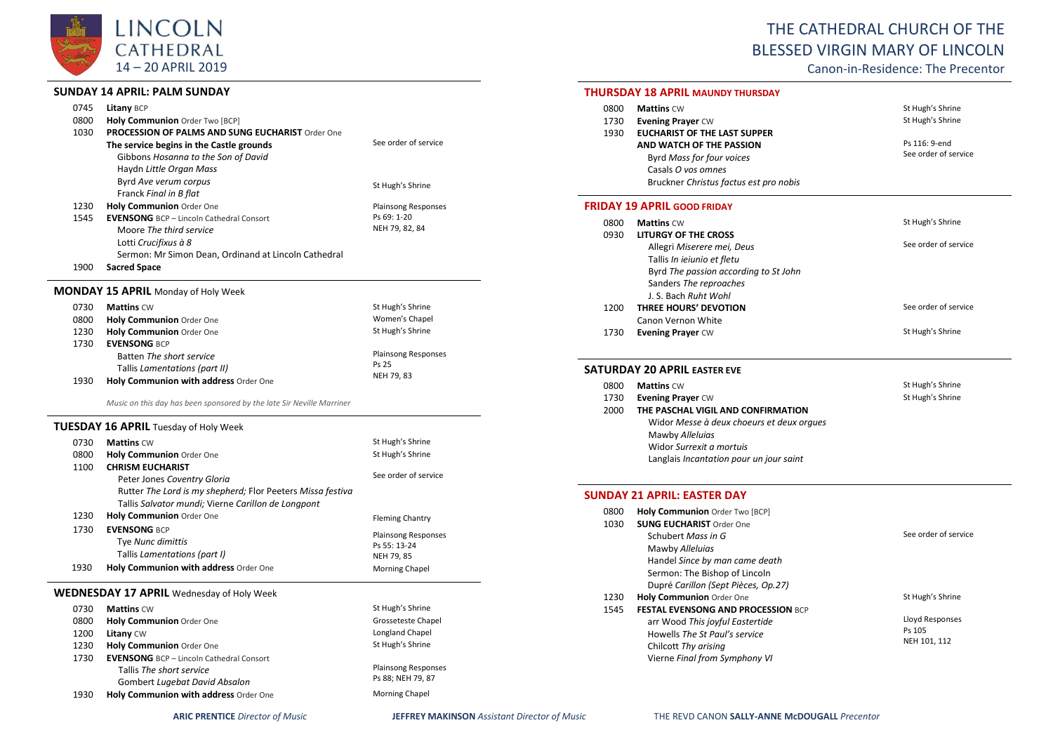

## **SUNDAY 14 APRIL: PALM SUNDAY**

| 0745 | Litany BCP                                              |                            |
|------|---------------------------------------------------------|----------------------------|
| 0800 | Holy Communion Order Two [BCP]                          |                            |
| 1030 | <b>PROCESSION OF PALMS AND SUNG EUCHARIST Order One</b> |                            |
|      | The service begins in the Castle grounds                | See order of service       |
|      | Gibbons Hosanna to the Son of David                     |                            |
|      | Haydn Little Organ Mass                                 |                            |
|      | Byrd Ave verum corpus                                   | St Hugh's Shrine           |
|      | Franck Final in B flat                                  |                            |
| 1230 | <b>Holy Communion Order One</b>                         | <b>Plainsong Responses</b> |
| 1545 | <b>EVENSONG</b> BCP - Lincoln Cathedral Consort         | Ps 69: 1-20                |
|      | Moore The third service                                 | NEH 79, 82, 84             |
|      | Lotti Crucifixus à 8                                    |                            |
|      | Sermon: Mr Simon Dean, Ordinand at Lincoln Cathedral    |                            |
| 1900 | <b>Sacred Space</b>                                     |                            |

# **MONDAY 15 APRIL** Monday of Holy Week

| 0730 | <b>Mattins CW</b>                     | St Hugh's Shrine           |
|------|---------------------------------------|----------------------------|
| 0800 | <b>Holy Communion</b> Order One       | Women's Chapel             |
| 1230 | <b>Holy Communion</b> Order One       | St Hugh's Shrine           |
| 1730 | <b>EVENSONG BCP</b>                   |                            |
|      | Batten The short service              | <b>Plainsong Responses</b> |
|      | Tallis Lamentations (part II)         | Ps 25                      |
| 1930 | Holy Communion with address Order One | NEH 79, 83                 |

*Music on this day has been sponsored by the late Sir Neville Marriner*

### **TUESDAY 16 APRIL** Tuesday of Holy Week

| 0730<br>0800<br>1100 | <b>Mattins CW</b><br><b>Holy Communion Order One</b><br><b>CHRISM EUCHARIST</b><br>Peter Jones Coventry Gloria<br>Rutter The Lord is my shepherd; Flor Peeters Missa festiva<br>Tallis Salvator mundi; Vierne Carillon de Longpont | St Hugh's Shrine<br>St Hugh's Shrine<br>See order of service                                                |
|----------------------|------------------------------------------------------------------------------------------------------------------------------------------------------------------------------------------------------------------------------------|-------------------------------------------------------------------------------------------------------------|
| 1230<br>1730<br>1930 | <b>Holy Communion Order One</b><br><b>EVENSONG BCP</b><br>Tye Nunc dimittis<br>Tallis Lamentations (part I)<br>Holy Communion with address Order One                                                                               | <b>Fleming Chantry</b><br><b>Plainsong Responses</b><br>Ps 55: 13-24<br>NEH 79, 85<br><b>Morning Chapel</b> |
|                      | <b>WEDNESDAY 17 APRIL</b> Wednesday of Holy Week                                                                                                                                                                                   |                                                                                                             |
| 0730<br>0800<br>1200 | <b>Mattins CW</b><br><b>Holy Communion Order One</b><br><b>Litany CW</b>                                                                                                                                                           | St Hugh's Shrine<br>Grosseteste Chapel<br>Longland Chapel                                                   |

| 1230 | Holy Communion Order One                        | St Hugh's Shrine        |
|------|-------------------------------------------------|-------------------------|
| 1730 | <b>EVENSONG</b> BCP - Lincoln Cathedral Consort |                         |
|      | Tallis The short service                        | <b>Plainsong Respor</b> |
|      | Gombert Lugebat David Absalon                   | Ps 88; NEH 79, 87       |
| 1930 | Holy Communion with address Order One           | Morning Chapel          |
|      |                                                 |                         |

Plainsong Responses Ps 88; NEH 79, 87 Morning Chapel

# THE CATHEDRAL CHURCH OF THE BLESSED VIRGIN MARY OF LINCOLN

Canon-in-Residence: The Precentor

#### **THURSDAY 18 APRIL MAUNDY THURSDAY**

| 0800 | <b>Mattins CW</b>                      | St Hugh's Shrine     |
|------|----------------------------------------|----------------------|
| 1730 | <b>Evening Prayer CW</b>               | St Hugh's Shrine     |
| 1930 | <b>EUCHARIST OF THE LAST SUPPER</b>    |                      |
|      | AND WATCH OF THE PASSION               | Ps 116: 9-end        |
|      | Byrd Mass for four voices              | See order of service |
|      | Casals O vos omnes                     |                      |
|      | Bruckner Christus factus est pro nobis |                      |
|      |                                        |                      |

#### **FRIDAY 19 APRIL GOOD FRIDAY**

| 0800 | <b>Mattins CW</b>                     | St Hugh's Shrine     |
|------|---------------------------------------|----------------------|
| 0930 | LITURGY OF THE CROSS                  |                      |
|      | Allegri Miserere mei, Deus            | See order of service |
|      | Tallis In ieiunio et fletu            |                      |
|      | Byrd The passion according to St John |                      |
|      | Sanders The reproaches                |                      |
|      | J. S. Bach Ruht Wohl                  |                      |
| 1200 | THREE HOURS' DEVOTION                 | See order of service |
|      | Canon Vernon White                    |                      |
| 1730 | <b>Evening Prayer CW</b>              | St Hugh's Shrine     |

#### **SATURDAY 20 APRIL EASTER EVE**

| 0800 | <b>Mattins CW</b>                         | St Hugh's Shrine |
|------|-------------------------------------------|------------------|
| 1730 | <b>Evening Prayer CW</b>                  | St Hugh's Shrine |
| 2000 | THE PASCHAL VIGIL AND CONFIRMATION        |                  |
|      | Widor Messe à deux choeurs et deux orques |                  |
|      | Mawby Alleluias                           |                  |
|      | Widor Surrexit a mortuis                  |                  |
|      | Langlais Incantation pour un jour saint   |                  |

#### **SUNDAY 21 APRIL: EASTER DAY**

| 0800 | Holy Communion Order Two [BCP]            |                        |
|------|-------------------------------------------|------------------------|
| 1030 | <b>SUNG EUCHARIST Order One</b>           |                        |
|      | Schubert Mass in G                        | See order of service   |
|      | Mawby Alleluias                           |                        |
|      | Handel Since by man came death            |                        |
|      | Sermon: The Bishop of Lincoln             |                        |
|      | Dupré Carillon (Sept Pièces, Op.27)       |                        |
| 1230 | Holy Communion Order One                  | St Hugh's Shrine       |
| 1545 | <b>FESTAL EVENSONG AND PROCESSION BCP</b> |                        |
|      | arr Wood This joyful Eastertide           | <b>Lloyd Responses</b> |
|      | Howells The St Paul's service             | Ps 105                 |
|      | Chilcott Thy arising                      | NEH 101, 112           |
|      | Vierne Final from Symphony VI             |                        |